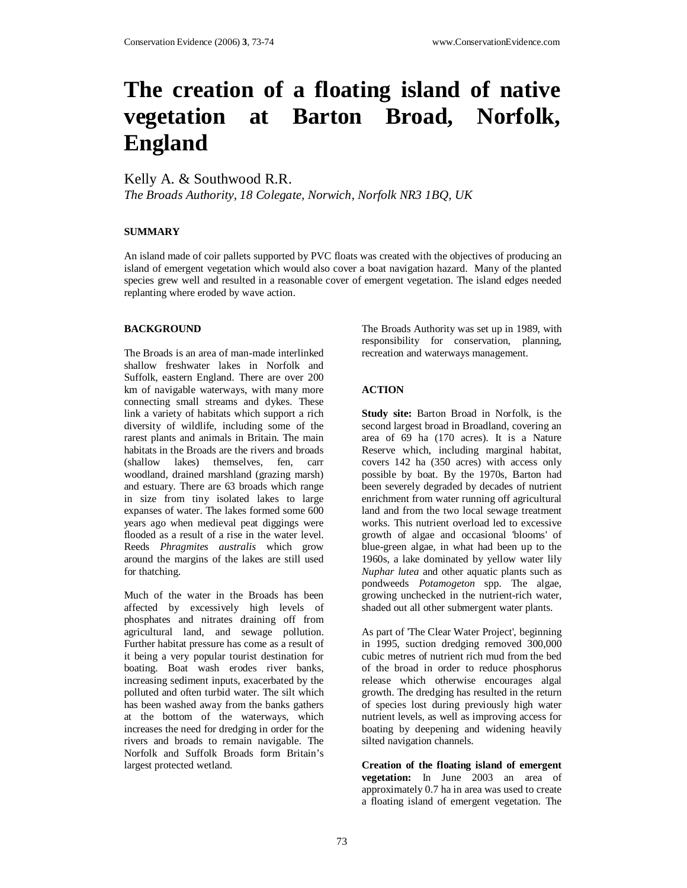# **The creation of a floating island of native vegetation at Barton Broad, Norfolk, England**

Kelly A. & Southwood R.R.

*The Broads Authority, 18 Colegate, Norwich, Norfolk NR3 1BQ, UK* 

## **SUMMARY**

An island made of coir pallets supported by PVC floats was created with the objectives of producing an island of emergent vegetation which would also cover a boat navigation hazard. Many of the planted species grew well and resulted in a reasonable cover of emergent vegetation. The island edges needed replanting where eroded by wave action.

### **BACKGROUND**

The Broads is an area of man-made interlinked shallow freshwater lakes in Norfolk and Suffolk, eastern England. There are over 200 km of navigable waterways, with many more connecting small streams and dykes. These link a variety of habitats which support a rich diversity of wildlife, including some of the rarest plants and animals in Britain. The main habitats in the Broads are the rivers and broads (shallow lakes) themselves, fen, carr woodland, drained marshland (grazing marsh) and estuary. There are 63 broads which range in size from tiny isolated lakes to large expanses of water. The lakes formed some 600 years ago when medieval peat diggings were flooded as a result of a rise in the water level. Reeds *Phragmites australis* which grow around the margins of the lakes are still used for thatching.

Much of the water in the Broads has been affected by excessively high levels of phosphates and nitrates draining off from agricultural land, and sewage pollution. Further habitat pressure has come as a result of it being a very popular tourist destination for boating. Boat wash erodes river banks, increasing sediment inputs, exacerbated by the polluted and often turbid water. The silt which has been washed away from the banks gathers at the bottom of the waterways, which increases the need for dredging in order for the rivers and broads to remain navigable. The Norfolk and Suffolk Broads form Britain's largest protected wetland.

The Broads Authority was set up in 1989, with responsibility for conservation, planning, recreation and waterways management.

### **ACTION**

**Study site:** Barton Broad in Norfolk, is the second largest broad in Broadland, covering an area of 69 ha (170 acres). It is a Nature Reserve which, including marginal habitat, covers 142 ha (350 acres) with access only possible by boat. By the 1970s, Barton had been severely degraded by decades of nutrient enrichment from water running off agricultural land and from the two local sewage treatment works. This nutrient overload led to excessive growth of algae and occasional 'blooms' of blue-green algae, in what had been up to the 1960s, a lake dominated by yellow water lily *Nuphar lutea* and other aquatic plants such as pondweeds *Potamogeton* spp. The algae, growing unchecked in the nutrient-rich water, shaded out all other submergent water plants.

As part of 'The Clear Water Project', beginning in 1995, suction dredging removed 300,000 cubic metres of nutrient rich mud from the bed of the broad in order to reduce phosphorus release which otherwise encourages algal growth. The dredging has resulted in the return of species lost during previously high water nutrient levels, as well as improving access for boating by deepening and widening heavily silted navigation channels.

**Creation of the floating island of emergent vegetation:** In June 2003 an area of approximately 0.7 ha in area was used to create a floating island of emergent vegetation. The